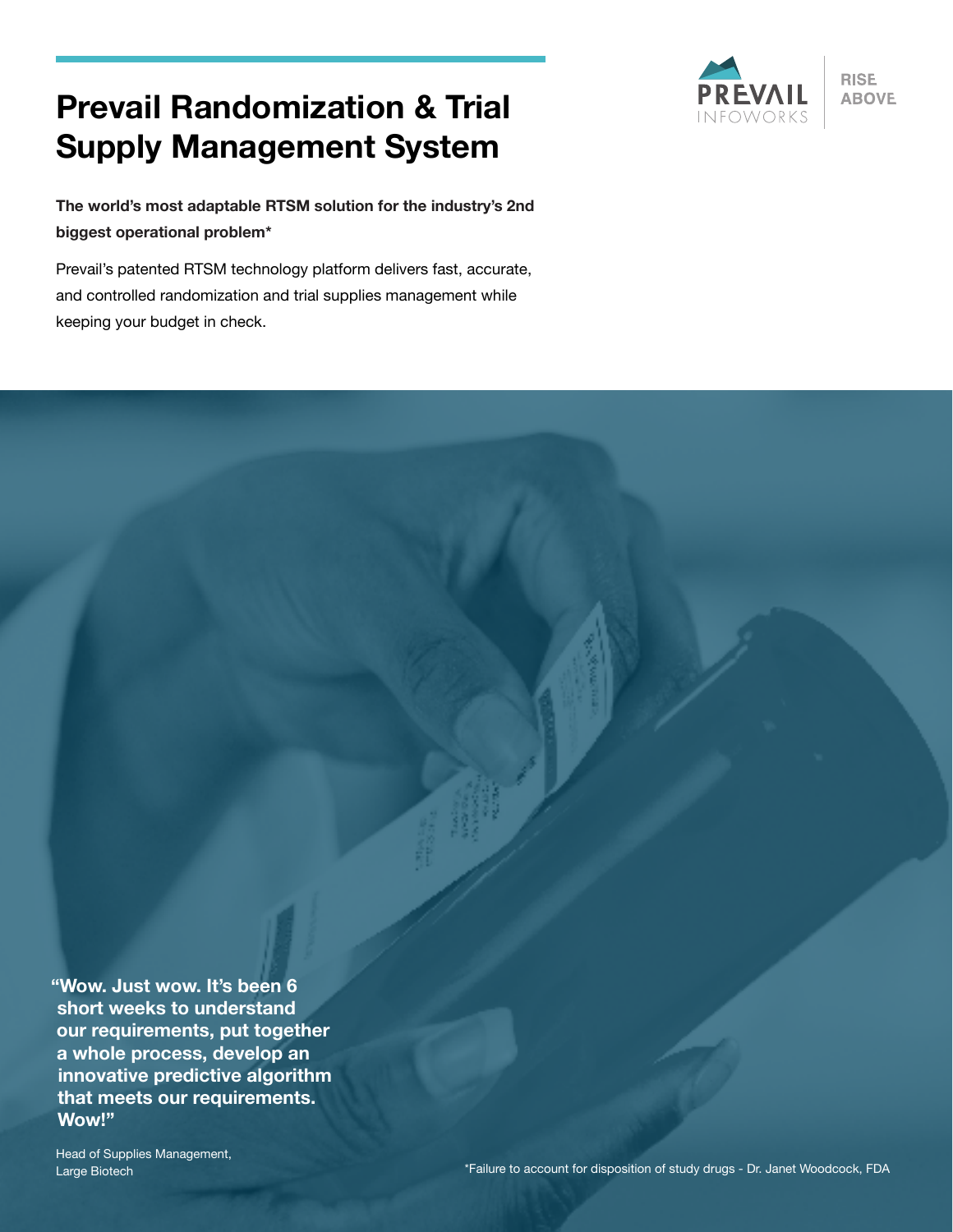# **Prevail Randomization & Trial Supply Management System**



**RISE ABOVE** 

**The world's most adaptable RTSM solution for the industry's 2nd biggest operational problem\***

Prevail's patented RTSM technology platform delivers fast, accurate, and controlled randomization and trial supplies management while keeping your budget in check.

**"Wow. Just wow. It's been 6 short weeks to understand our requirements, put together a whole process, develop an innovative predictive algorithm that meets our requirements. Wow!"**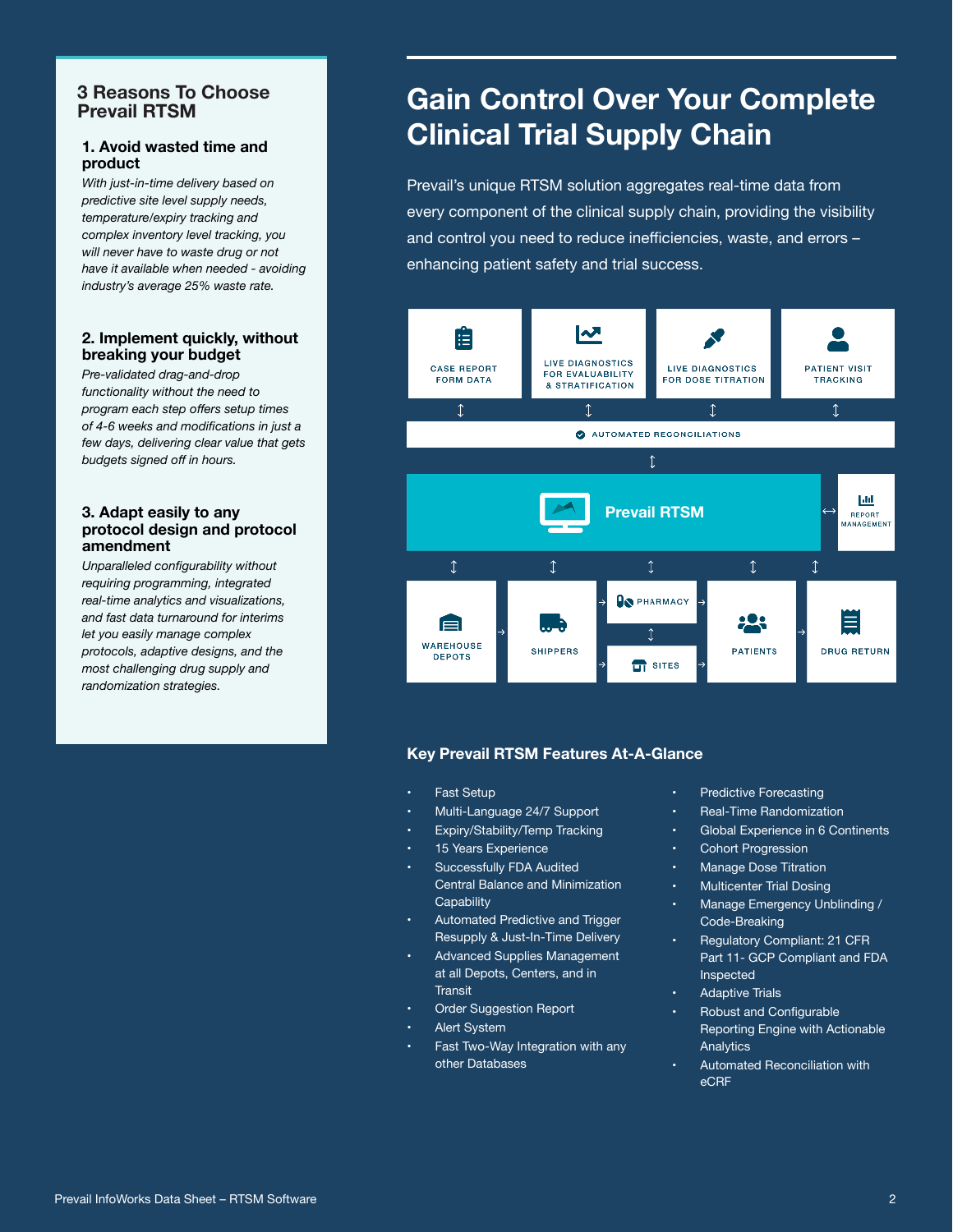#### **3 Reasons To Choose Prevail RTSM**

#### **1. Avoid wasted time and product**

*With just-in-time delivery based on predictive site level supply needs, temperature/expiry tracking and complex inventory level tracking, you will never have to waste drug or not have it available when needed - avoiding industry's average 25% waste rate.*

#### **2. Implement quickly, without breaking your budget**

*Pre-validated drag-and-drop functionality without the need to program each step offers setup times of 4-6 weeks and modifications in just a few days, delivering clear value that gets budgets signed off in hours.*

#### **3. Adapt easily to any protocol design and protocol amendment**

*Unparalleled configurability without requiring programming, integrated real-time analytics and visualizations, and fast data turnaround for interims let you easily manage complex protocols, adaptive designs, and the most challenging drug supply and randomization strategies.*

# **Gain Control Over Your Complete Clinical Trial Supply Chain**

Prevail's unique RTSM solution aggregates real-time data from every component of the clinical supply chain, providing the visibility and control you need to reduce inefficiencies, waste, and errors – enhancing patient safety and trial success.



#### **Key Prevail RTSM Features At-A-Glance**

- **Fast Setup**
- Multi-Language 24/7 Support
- Expiry/Stability/Temp Tracking
- 15 Years Experience
- Successfully FDA Audited Central Balance and Minimization **Capability**
- Automated Predictive and Trigger Resupply & Just-In-Time Delivery
- Advanced Supplies Management at all Depots, Centers, and in **Transit**
- Order Suggestion Report
- **Alert System**
- Fast Two-Way Integration with any other Databases
- Predictive Forecasting
- Real-Time Randomization
- Global Experience in 6 Continents
- Cohort Progression
- Manage Dose Titration
- Multicenter Trial Dosing
- Manage Emergency Unblinding / Code-Breaking
- Regulatory Compliant: 21 CFR Part 11- GCP Compliant and FDA Inspected
- **Adaptive Trials**
- Robust and Configurable Reporting Engine with Actionable Analytics
- Automated Reconciliation with eCRF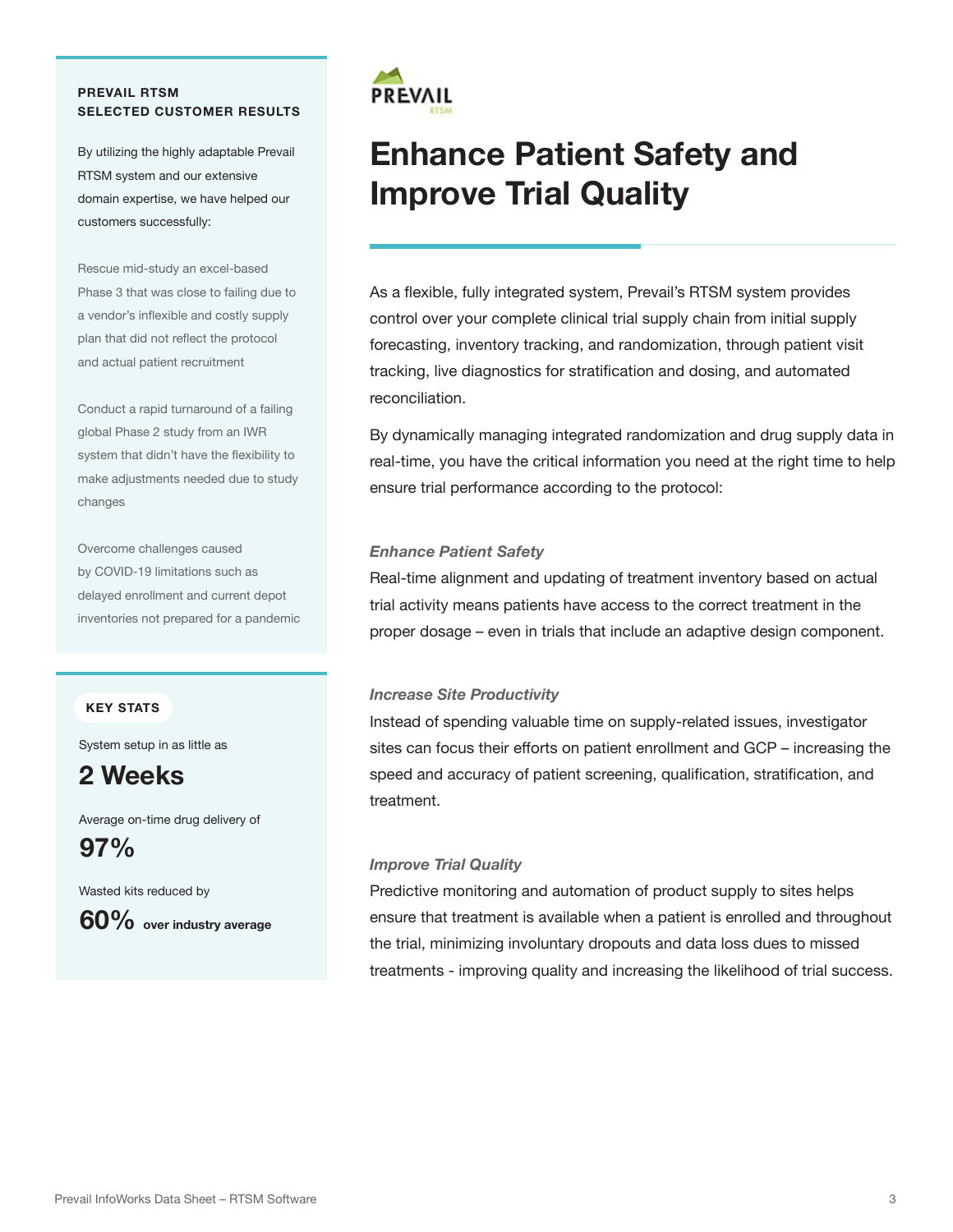#### **PREVAIL RTSM SELECTED CUSTOMER RESULTS**

By utilizing the highly adaptable Prevail RTSM system and our extensive domain expertise, we have helped our customers successfully:

Rescue mid-study an excel-based Phase 3 that was close to failing due to a vendor's inflexible and costly supply plan that did not reflect the protocol and actual patient recruitment

Conduct a rapid turnaround of a failing global Phase 2 study from an IWR system that didn't have the flexibility to make adjustments needed due to study changes

Overcome challenges caused by COVID-19 limitations such as delayed enrollment and current depot inventories not prepared for a pandemic

#### **KEY STATS**

System setup in as little as

## **2 Weeks**

Average on-time drug delivery of

**97%**

Wasted kits reduced by





# **Enhance Patient Safety and Improve Trial Quality**

As a flexible, fully integrated system, Prevail's RTSM system provides control over your complete clinical trial supply chain from initial supply forecasting, inventory tracking, and randomization, through patient visit tracking, live diagnostics for stratification and dosing, and automated reconciliation.

By dynamically managing integrated randomization and drug supply data in real-time, you have the critical information you need at the right time to help ensure trial performance according to the protocol:

#### *Enhance Patient Safety*

Real-time alignment and updating of treatment inventory based on actual trial activity means patients have access to the correct treatment in the proper dosage – even in trials that include an adaptive design component.

#### *Increase Site Productivity*

Instead of spending valuable time on supply-related issues, investigator sites can focus their efforts on patient enrollment and GCP – increasing the speed and accuracy of patient screening, qualification, stratification, and treatment.

#### *Improve Trial Quality*

Predictive monitoring and automation of product supply to sites helps ensure that treatment is available when a patient is enrolled and throughout the trial, minimizing involuntary dropouts and data loss dues to missed treatments - improving quality and increasing the likelihood of trial success.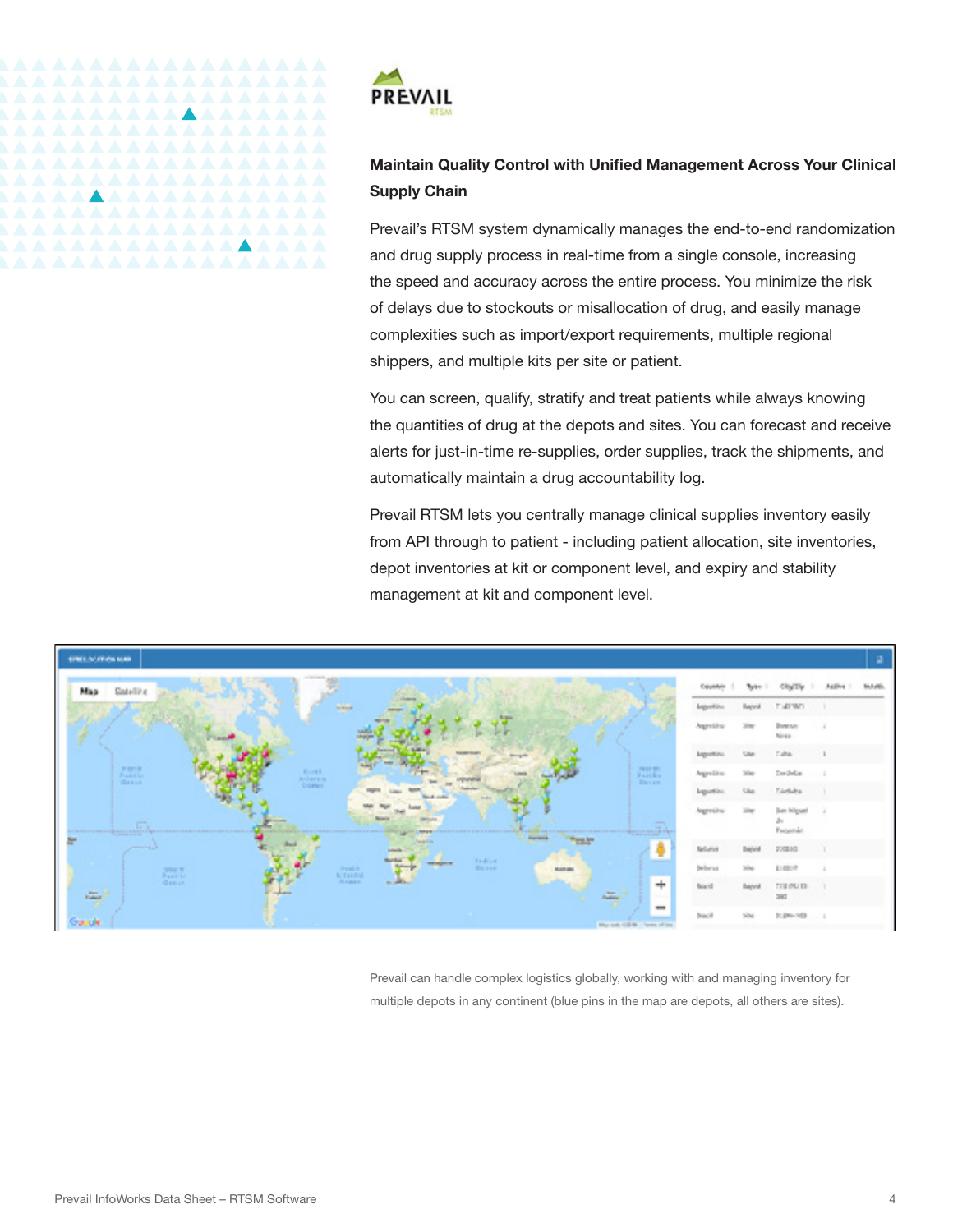

*AAAAAAAAAAA* 

*AAAAAAAAAAAAAA* 

 $\blacktriangle$ 

### **Maintain Quality Control with Unified Management Across Your Clinical Supply Chain**

Prevail's RTSM system dynamically manages the end-to-end randomization and drug supply process in real-time from a single console, increasing the speed and accuracy across the entire process. You minimize the risk of delays due to stockouts or misallocation of drug, and easily manage complexities such as import/export requirements, multiple regional shippers, and multiple kits per site or patient.

You can screen, qualify, stratify and treat patients while always knowing the quantities of drug at the depots and sites. You can forecast and receive alerts for just-in-time re-supplies, order supplies, track the shipments, and automatically maintain a drug accountability log.

Prevail RTSM lets you centrally manage clinical supplies inventory easily from API through to patient - including patient allocation, site inventories, depot inventories at kit or component level, and expiry and stability management at kit and component level.



Prevail can handle complex logistics globally, working with and managing inventory for multiple depots in any continent (blue pins in the map are depots, all others are sites).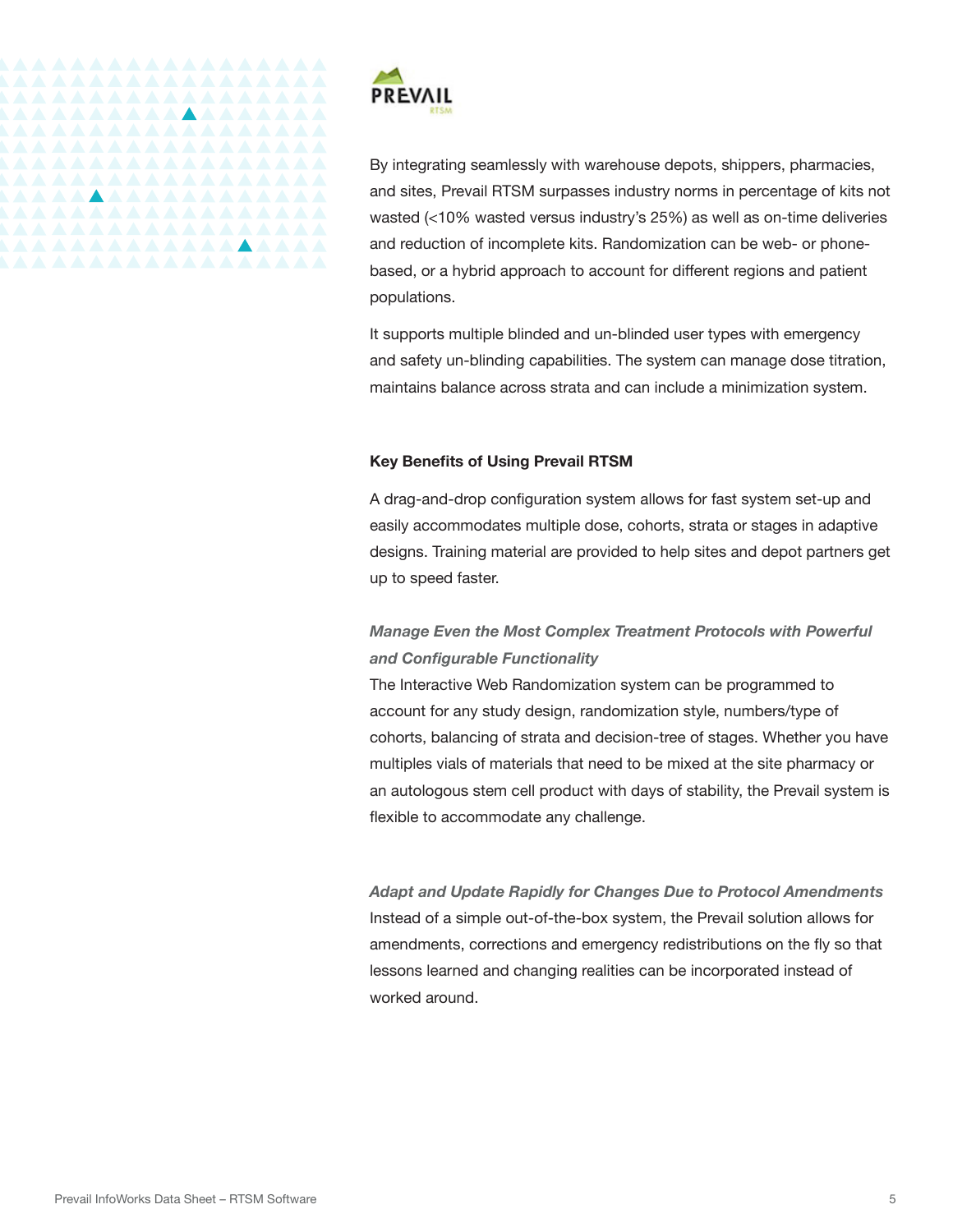



By integrating seamlessly with warehouse depots, shippers, pharmacies, and sites, Prevail RTSM surpasses industry norms in percentage of kits not wasted (<10% wasted versus industry's 25%) as well as on-time deliveries and reduction of incomplete kits. Randomization can be web- or phonebased, or a hybrid approach to account for different regions and patient populations.

It supports multiple blinded and un-blinded user types with emergency and safety un-blinding capabilities. The system can manage dose titration, maintains balance across strata and can include a minimization system.

#### **Key Benefits of Using Prevail RTSM**

A drag-and-drop configuration system allows for fast system set-up and easily accommodates multiple dose, cohorts, strata or stages in adaptive designs. Training material are provided to help sites and depot partners get up to speed faster.

## *Manage Even the Most Complex Treatment Protocols with Powerful and Configurable Functionality*

The Interactive Web Randomization system can be programmed to account for any study design, randomization style, numbers/type of cohorts, balancing of strata and decision-tree of stages. Whether you have multiples vials of materials that need to be mixed at the site pharmacy or an autologous stem cell product with days of stability, the Prevail system is flexible to accommodate any challenge.

*Adapt and Update Rapidly for Changes Due to Protocol Amendments*  Instead of a simple out-of-the-box system, the Prevail solution allows for amendments, corrections and emergency redistributions on the fly so that lessons learned and changing realities can be incorporated instead of worked around.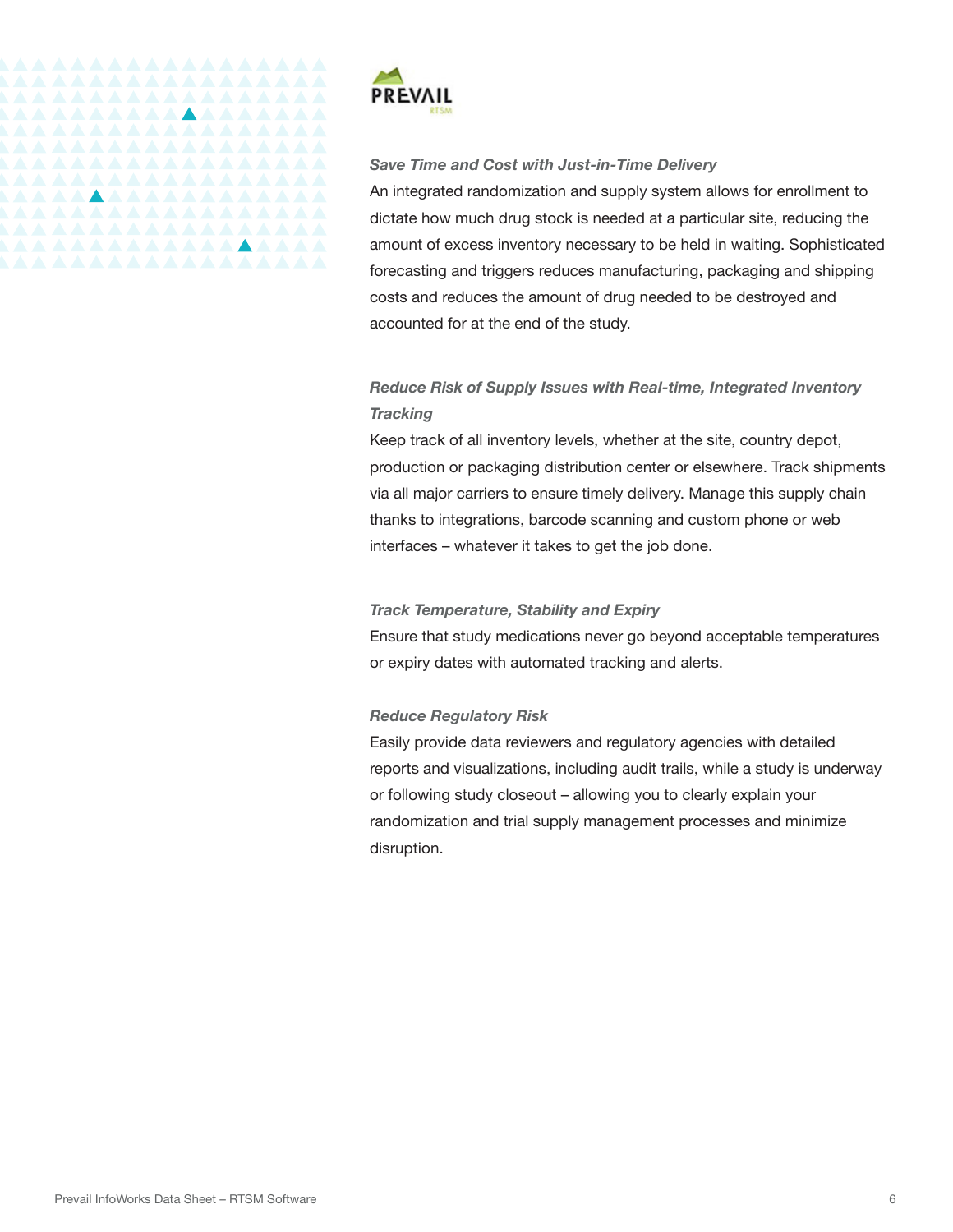

#### *Save Time and Cost with Just-in-Time Delivery*

An integrated randomization and supply system allows for enrollment to dictate how much drug stock is needed at a particular site, reducing the amount of excess inventory necessary to be held in waiting. Sophisticated forecasting and triggers reduces manufacturing, packaging and shipping costs and reduces the amount of drug needed to be destroyed and accounted for at the end of the study.

### *Reduce Risk of Supply Issues with Real-time, Integrated Inventory Tracking*

Keep track of all inventory levels, whether at the site, country depot, production or packaging distribution center or elsewhere. Track shipments via all major carriers to ensure timely delivery. Manage this supply chain thanks to integrations, barcode scanning and custom phone or web interfaces – whatever it takes to get the job done.

#### *Track Temperature, Stability and Expiry*

Ensure that study medications never go beyond acceptable temperatures or expiry dates with automated tracking and alerts.

#### *Reduce Regulatory Risk*

Easily provide data reviewers and regulatory agencies with detailed reports and visualizations, including audit trails, while a study is underway or following study closeout – allowing you to clearly explain your randomization and trial supply management processes and minimize disruption.

<u> AAAAAAAAAAAAAAA</u>

<u> AAAAAAAAAAAAAAAA</u>